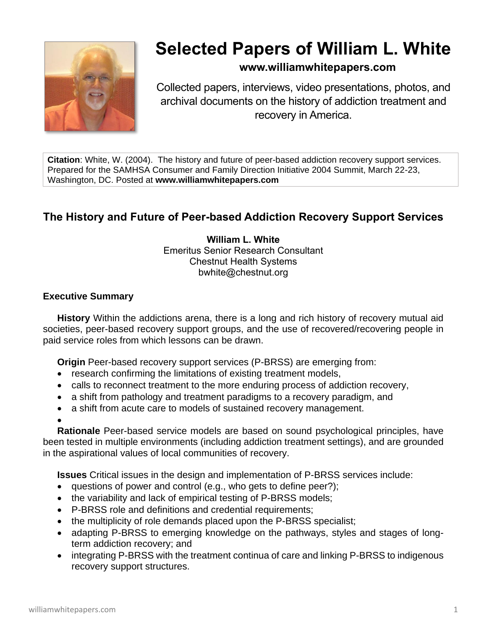

# **Selected Papers of William L. White**

# **www.williamwhitepapers.com**

Collected papers, interviews, video presentations, photos, and archival documents on the history of addiction treatment and recovery in America.

**Citation**: White, W. (2004). The history and future of peer-based addiction recovery support services. Prepared for the SAMHSA Consumer and Family Direction Initiative 2004 Summit, March 22-23, Washington, DC. Posted at **www.williamwhitepapers.com**

# **The History and Future of Peer-based Addiction Recovery Support Services**

**William L. White** Emeritus Senior Research Consultant Chestnut Health Systems bwhite@chestnut.org

### **Executive Summary**

**History** Within the addictions arena, there is a long and rich history of recovery mutual aid societies, peer-based recovery support groups, and the use of recovered/recovering people in paid service roles from which lessons can be drawn.

**Origin** Peer-based recovery support services (P-BRSS) are emerging from:

- research confirming the limitations of existing treatment models,
- calls to reconnect treatment to the more enduring process of addiction recovery,
- a shift from pathology and treatment paradigms to a recovery paradigm, and
- a shift from acute care to models of sustained recovery management.

•

**Rationale** Peer-based service models are based on sound psychological principles, have been tested in multiple environments (including addiction treatment settings), and are grounded in the aspirational values of local communities of recovery.

**Issues** Critical issues in the design and implementation of P-BRSS services include:

- questions of power and control (e.g., who gets to define peer?);
- the variability and lack of empirical testing of P-BRSS models;
- P-BRSS role and definitions and credential requirements;
- the multiplicity of role demands placed upon the P-BRSS specialist;
- adapting P-BRSS to emerging knowledge on the pathways, styles and stages of longterm addiction recovery; and
- integrating P-BRSS with the treatment continua of care and linking P-BRSS to indigenous recovery support structures.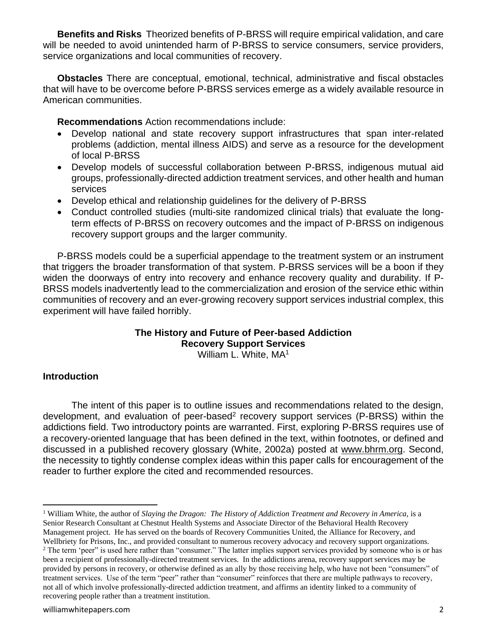**Benefits and Risks** Theorized benefits of P-BRSS will require empirical validation, and care will be needed to avoid unintended harm of P-BRSS to service consumers, service providers, service organizations and local communities of recovery.

**Obstacles** There are conceptual, emotional, technical, administrative and fiscal obstacles that will have to be overcome before P-BRSS services emerge as a widely available resource in American communities.

**Recommendations** Action recommendations include:

- Develop national and state recovery support infrastructures that span inter-related problems (addiction, mental illness AIDS) and serve as a resource for the development of local P-BRSS
- Develop models of successful collaboration between P-BRSS, indigenous mutual aid groups, professionally-directed addiction treatment services, and other health and human services
- Develop ethical and relationship guidelines for the delivery of P-BRSS
- Conduct controlled studies (multi-site randomized clinical trials) that evaluate the longterm effects of P-BRSS on recovery outcomes and the impact of P-BRSS on indigenous recovery support groups and the larger community.

P-BRSS models could be a superficial appendage to the treatment system or an instrument that triggers the broader transformation of that system. P-BRSS services will be a boon if they widen the doorways of entry into recovery and enhance recovery quality and durability. If P-BRSS models inadvertently lead to the commercialization and erosion of the service ethic within communities of recovery and an ever-growing recovery support services industrial complex, this experiment will have failed horribly.

# **The History and Future of Peer-based Addiction Recovery Support Services**

William L. White, MA<sup>1</sup>

## **Introduction**

The intent of this paper is to outline issues and recommendations related to the design, development, and evaluation of peer-based<sup>2</sup> recovery support services (P-BRSS) within the addictions field. Two introductory points are warranted. First, exploring P-BRSS requires use of a recovery-oriented language that has been defined in the text, within footnotes, or defined and discussed in a published recovery glossary (White, 2002a) posted at [www.bhrm.org.](http://www.bhrm.org/) Second, the necessity to tightly condense complex ideas within this paper calls for encouragement of the reader to further explore the cited and recommended resources.

<sup>1</sup> William White, the author of *Slaying the Dragon: The History of Addiction Treatment and Recovery in America,* is a Senior Research Consultant at Chestnut Health Systems and Associate Director of the Behavioral Health Recovery Management project. He has served on the boards of Recovery Communities United, the Alliance for Recovery, and Wellbriety for Prisons, Inc., and provided consultant to numerous recovery advocacy and recovery support organizations. <sup>2</sup> The term 'peer" is used here rather than "consumer." The latter implies support services provided by someone who is or has

been a recipient of professionally-directed treatment services. In the addictions arena, recovery support services may be provided by persons in recovery, or otherwise defined as an ally by those receiving help, who have not been "consumers" of treatment services. Use of the term "peer" rather than "consumer" reinforces that there are multiple pathways to recovery, not all of which involve professionally-directed addiction treatment, and affirms an identity linked to a community of recovering people rather than a treatment institution.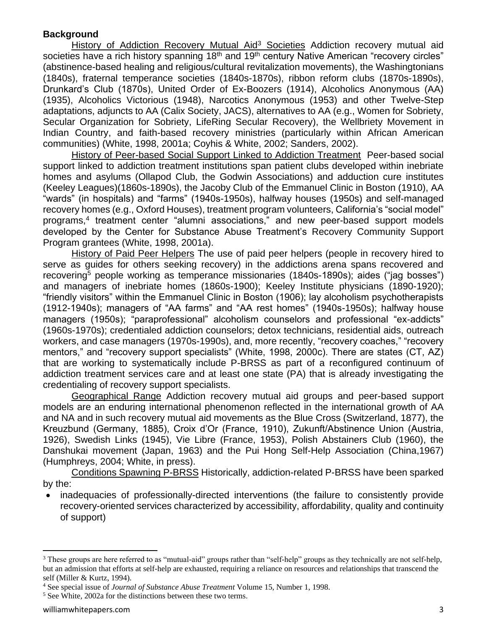### **Background**

History of Addiction Recovery Mutual Aid<sup>3</sup> Societies Addiction recovery mutual aid societies have a rich history spanning 18<sup>th</sup> and 19<sup>th</sup> century Native American "recovery circles" (abstinence-based healing and religious/cultural revitalization movements), the Washingtonians (1840s), fraternal temperance societies (1840s-1870s), ribbon reform clubs (1870s-1890s), Drunkard's Club (1870s), United Order of Ex-Boozers (1914), Alcoholics Anonymous (AA) (1935), Alcoholics Victorious (1948), Narcotics Anonymous (1953) and other Twelve-Step adaptations, adjuncts to AA (Calix Society, JACS), alternatives to AA (e.g., Women for Sobriety, Secular Organization for Sobriety, LifeRing Secular Recovery), the Wellbriety Movement in Indian Country, and faith-based recovery ministries (particularly within African American communities) (White, 1998, 2001a; Coyhis & White, 2002; Sanders, 2002).

History of Peer-based Social Support Linked to Addiction Treatment Peer-based social support linked to addiction treatment institutions span patient clubs developed within inebriate homes and asylums (Ollapod Club, the Godwin Associations) and adduction cure institutes (Keeley Leagues)(1860s-1890s), the Jacoby Club of the Emmanuel Clinic in Boston (1910), AA "wards" (in hospitals) and "farms" (1940s-1950s), halfway houses (1950s) and self-managed recovery homes (e.g., Oxford Houses), treatment program volunteers, California's "social model" programs,<sup>4</sup> treatment center "alumni associations," and new peer-based support models developed by the Center for Substance Abuse Treatment's Recovery Community Support Program grantees (White, 1998, 2001a).

History of Paid Peer Helpers The use of paid peer helpers (people in recovery hired to serve as guides for others seeking recovery) in the addictions arena spans recovered and recovering<sup>5</sup> people working as temperance missionaries (1840s-1890s); aides ("jag bosses") and managers of inebriate homes (1860s-1900); Keeley Institute physicians (1890-1920); "friendly visitors" within the Emmanuel Clinic in Boston (1906); lay alcoholism psychotherapists (1912-1940s); managers of "AA farms" and "AA rest homes" (1940s-1950s); halfway house managers (1950s); "paraprofessional" alcoholism counselors and professional "ex-addicts" (1960s-1970s); credentialed addiction counselors; detox technicians, residential aids, outreach workers, and case managers (1970s-1990s), and, more recently, "recovery coaches," "recovery mentors," and "recovery support specialists" (White, 1998, 2000c). There are states (CT, AZ) that are working to systematically include P-BRSS as part of a reconfigured continuum of addiction treatment services care and at least one state (PA) that is already investigating the credentialing of recovery support specialists.

Geographical Range Addiction recovery mutual aid groups and peer-based support models are an enduring international phenomenon reflected in the international growth of AA and NA and in such recovery mutual aid movements as the Blue Cross (Switzerland, 1877), the Kreuzbund (Germany, 1885), Croix d'Or (France, 1910), Zukunft/Abstinence Union (Austria, 1926), Swedish Links (1945), Vie Libre (France, 1953), Polish Abstainers Club (1960), the Danshukai movement (Japan, 1963) and the Pui Hong Self-Help Association (China,1967) (Humphreys, 2004; White, in press).

Conditions Spawning P-BRSS Historically, addiction-related P-BRSS have been sparked by the:

• inadequacies of professionally-directed interventions (the failure to consistently provide recovery-oriented services characterized by accessibility, affordability, quality and continuity of support)

<sup>&</sup>lt;sup>3</sup> These groups are here referred to as "mutual-aid" groups rather than "self-help" groups as they technically are not self-help, but an admission that efforts at self-help are exhausted, requiring a reliance on resources and relationships that transcend the self (Miller & Kurtz, 1994).

<sup>4</sup> See special issue of *Journal of Substance Abuse Treatment* Volume 15, Number 1, 1998.

<sup>5</sup> See White, 2002a for the distinctions between these two terms.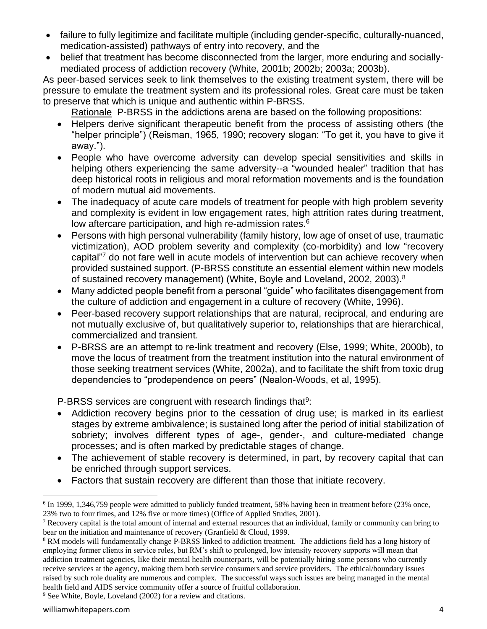- failure to fully legitimize and facilitate multiple (including gender-specific, culturally-nuanced, medication-assisted) pathways of entry into recovery, and the
- belief that treatment has become disconnected from the larger, more enduring and sociallymediated process of addiction recovery (White, 2001b; 2002b; 2003a; 2003b).

As peer-based services seek to link themselves to the existing treatment system, there will be pressure to emulate the treatment system and its professional roles. Great care must be taken to preserve that which is unique and authentic within P-BRSS.

Rationale P-BRSS in the addictions arena are based on the following propositions:

- Helpers derive significant therapeutic benefit from the process of assisting others (the "helper principle") (Reisman, 1965, 1990; recovery slogan: "To get it, you have to give it away.").
- People who have overcome adversity can develop special sensitivities and skills in helping others experiencing the same adversity--a "wounded healer" tradition that has deep historical roots in religious and moral reformation movements and is the foundation of modern mutual aid movements.
- The inadequacy of acute care models of treatment for people with high problem severity and complexity is evident in low engagement rates, high attrition rates during treatment, low aftercare participation, and high re-admission rates.<sup>6</sup>
- Persons with high personal vulnerability (family history, low age of onset of use, traumatic victimization), AOD problem severity and complexity (co-morbidity) and low "recovery capital<sup>"7</sup> do not fare well in acute models of intervention but can achieve recovery when provided sustained support. (P-BRSS constitute an essential element within new models of sustained recovery management) (White, Boyle and Loveland, 2002, 2003).<sup>8</sup>
- Many addicted people benefit from a personal "guide" who facilitates disengagement from the culture of addiction and engagement in a culture of recovery (White, 1996).
- Peer-based recovery support relationships that are natural, reciprocal, and enduring are not mutually exclusive of, but qualitatively superior to, relationships that are hierarchical, commercialized and transient.
- P-BRSS are an attempt to re-link treatment and recovery (Else, 1999; White, 2000b), to move the locus of treatment from the treatment institution into the natural environment of those seeking treatment services (White, 2002a), and to facilitate the shift from toxic drug dependencies to "prodependence on peers" (Nealon-Woods, et al, 1995).

P-BRSS services are congruent with research findings that<sup>9</sup>:

- Addiction recovery begins prior to the cessation of drug use; is marked in its earliest stages by extreme ambivalence; is sustained long after the period of initial stabilization of sobriety; involves different types of age-, gender-, and culture-mediated change processes; and is often marked by predictable stages of change.
- The achievement of stable recovery is determined, in part, by recovery capital that can be enriched through support services.
- Factors that sustain recovery are different than those that initiate recovery.

<sup>9</sup> See White, Boyle, Loveland (2002) for a review and citations.

<sup>&</sup>lt;sup>6</sup> In 1999, 1,346,759 people were admitted to publicly funded treatment, 58% having been in treatment before (23% once, 23% two to four times, and 12% five or more times) (Office of Applied Studies, 2001).

 $<sup>7</sup>$  Recovery capital is the total amount of internal and external resources that an individual, family or community can bring to</sup> bear on the initiation and maintenance of recovery (Granfield & Cloud, 1999.

<sup>&</sup>lt;sup>8</sup> RM models will fundamentally change P-BRSS linked to addiction treatment. The addictions field has a long history of employing former clients in service roles, but RM's shift to prolonged, low intensity recovery supports will mean that addiction treatment agencies, like their mental health counterparts, will be potentially hiring some persons who currently receive services at the agency, making them both service consumers and service providers. The ethical/boundary issues raised by such role duality are numerous and complex. The successful ways such issues are being managed in the mental health field and AIDS service community offer a source of fruitful collaboration.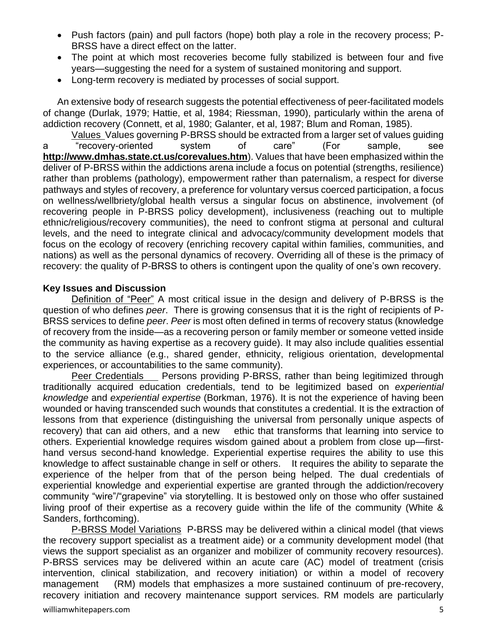- Push factors (pain) and pull factors (hope) both play a role in the recovery process; P-BRSS have a direct effect on the latter.
- The point at which most recoveries become fully stabilized is between four and five years—suggesting the need for a system of sustained monitoring and support.
- Long-term recovery is mediated by processes of social support.

An extensive body of research suggests the potential effectiveness of peer-facilitated models of change (Durlak, 1979; Hattie, et al, 1984; Riessman, 1990), particularly within the arena of addiction recovery (Connett, et al, 1980; Galanter, et al, 1987; Blum and Roman, 1985).

Values Values governing P-BRSS should be extracted from a larger set of values guiding a "recovery-oriented system of care" (For sample, see **<http://www.dmhas.state.ct.us/corevalues.htm>**). Values that have been emphasized within the deliver of P-BRSS within the addictions arena include a focus on potential (strengths, resilience) rather than problems (pathology), empowerment rather than paternalism, a respect for diverse pathways and styles of recovery, a preference for voluntary versus coerced participation, a focus on wellness/wellbriety/global health versus a singular focus on abstinence, involvement (of recovering people in P-BRSS policy development), inclusiveness (reaching out to multiple ethnic/religious/recovery communities), the need to confront stigma at personal and cultural levels, and the need to integrate clinical and advocacy/community development models that focus on the ecology of recovery (enriching recovery capital within families, communities, and nations) as well as the personal dynamics of recovery. Overriding all of these is the primacy of recovery: the quality of P-BRSS to others is contingent upon the quality of one's own recovery.

#### **Key Issues and Discussion**

Definition of "Peer" A most critical issue in the design and delivery of P-BRSS is the question of who defines *peer*. There is growing consensus that it is the right of recipients of P-BRSS services to define *peer*. *Peer* is most often defined in terms of recovery status (knowledge of recovery from the inside—as a recovering person or family member or someone vetted inside the community as having expertise as a recovery guide). It may also include qualities essential to the service alliance (e.g., shared gender, ethnicity, religious orientation, developmental experiences, or accountabilities to the same community).

Peer Credentials Persons providing P-BRSS, rather than being legitimized through traditionally acquired education credentials, tend to be legitimized based on *experiential knowledge* and *experiential expertise* (Borkman, 1976). It is not the experience of having been wounded or having transcended such wounds that constitutes a credential. It is the extraction of lessons from that experience (distinguishing the universal from personally unique aspects of recovery) that can aid others, and a new ethic that transforms that learning into service to others. Experiential knowledge requires wisdom gained about a problem from close up—firsthand versus second-hand knowledge. Experiential expertise requires the ability to use this knowledge to affect sustainable change in self or others. It requires the ability to separate the experience of the helper from that of the person being helped. The dual credentials of experiential knowledge and experiential expertise are granted through the addiction/recovery community "wire"/"grapevine" via storytelling. It is bestowed only on those who offer sustained living proof of their expertise as a recovery guide within the life of the community (White & Sanders, forthcoming).

P-BRSS Model Variations P-BRSS may be delivered within a clinical model (that views the recovery support specialist as a treatment aide) or a community development model (that views the support specialist as an organizer and mobilizer of community recovery resources). P-BRSS services may be delivered within an acute care (AC) model of treatment (crisis intervention, clinical stabilization, and recovery initiation) or within a model of recovery management (RM) models that emphasizes a more sustained continuum of pre-recovery, recovery initiation and recovery maintenance support services. RM models are particularly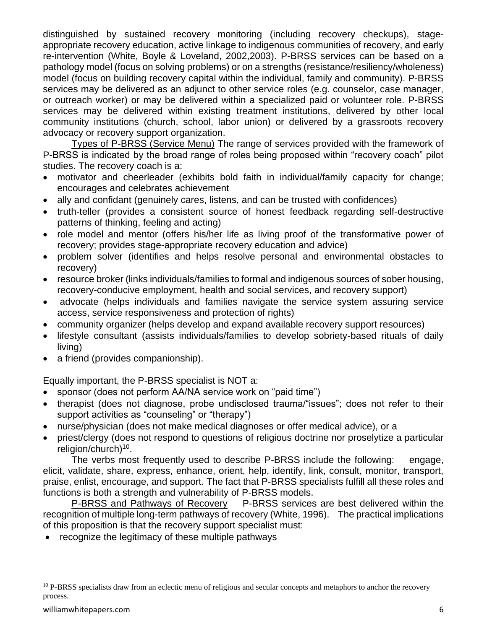distinguished by sustained recovery monitoring (including recovery checkups), stageappropriate recovery education, active linkage to indigenous communities of recovery, and early re-intervention (White, Boyle & Loveland, 2002,2003). P-BRSS services can be based on a pathology model (focus on solving problems) or on a strengths (resistance/resiliency/wholeness) model (focus on building recovery capital within the individual, family and community). P-BRSS services may be delivered as an adjunct to other service roles (e.g. counselor, case manager, or outreach worker) or may be delivered within a specialized paid or volunteer role. P-BRSS services may be delivered within existing treatment institutions, delivered by other local community institutions (church, school, labor union) or delivered by a grassroots recovery advocacy or recovery support organization.

Types of P-BRSS (Service Menu) The range of services provided with the framework of P-BRSS is indicated by the broad range of roles being proposed within "recovery coach" pilot studies. The recovery coach is a:

- motivator and cheerleader (exhibits bold faith in individual/family capacity for change; encourages and celebrates achievement
- ally and confidant (genuinely cares, listens, and can be trusted with confidences)
- truth-teller (provides a consistent source of honest feedback regarding self-destructive patterns of thinking, feeling and acting)
- role model and mentor (offers his/her life as living proof of the transformative power of recovery; provides stage-appropriate recovery education and advice)
- problem solver (identifies and helps resolve personal and environmental obstacles to recovery)
- resource broker (links individuals/families to formal and indigenous sources of sober housing, recovery-conducive employment, health and social services, and recovery support)
- advocate (helps individuals and families navigate the service system assuring service access, service responsiveness and protection of rights)
- community organizer (helps develop and expand available recovery support resources)
- lifestyle consultant (assists individuals/families to develop sobriety-based rituals of daily living)
- a friend (provides companionship).

Equally important, the P-BRSS specialist is NOT a:

- sponsor (does not perform AA/NA service work on "paid time")
- therapist (does not diagnose, probe undisclosed trauma/"issues"; does not refer to their support activities as "counseling" or "therapy")
- nurse/physician (does not make medical diagnoses or offer medical advice), or a
- priest/clergy (does not respond to questions of religious doctrine nor proselytize a particular religion/church)<sup>10</sup>.

The verbs most frequently used to describe P-BRSS include the following: engage, elicit, validate, share, express, enhance, orient, help, identify, link, consult, monitor, transport, praise, enlist, encourage, and support. The fact that P-BRSS specialists fulfill all these roles and functions is both a strength and vulnerability of P-BRSS models.

P-BRSS and Pathways of Recovery P-BRSS services are best delivered within the recognition of multiple long-term pathways of recovery (White, 1996). The practical implications of this proposition is that the recovery support specialist must:

• recognize the legitimacy of these multiple pathways

<sup>&</sup>lt;sup>10</sup> P-BRSS specialists draw from an eclectic menu of religious and secular concepts and metaphors to anchor the recovery process.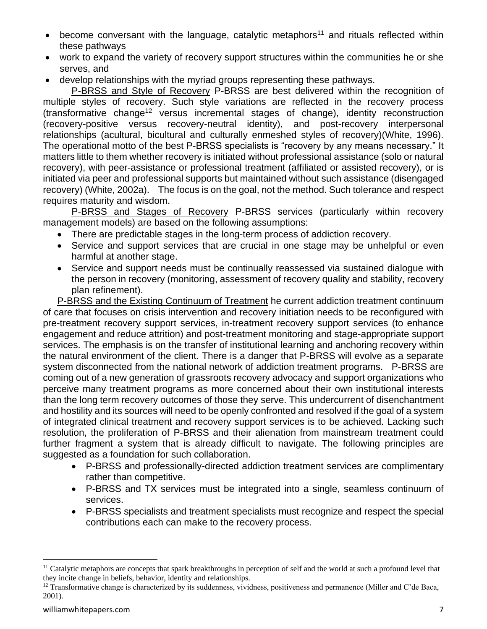- $\bullet$  become conversant with the language, catalytic metaphors<sup>11</sup> and rituals reflected within these pathways
- work to expand the variety of recovery support structures within the communities he or she serves, and
- develop relationships with the myriad groups representing these pathways.

P-BRSS and Style of Recovery P-BRSS are best delivered within the recognition of multiple styles of recovery. Such style variations are reflected in the recovery process (transformative change<sup>12</sup> versus incremental stages of change), identity reconstruction (recovery-positive versus recovery-neutral identity), and post-recovery interpersonal relationships (acultural, bicultural and culturally enmeshed styles of recovery)(White, 1996). The operational motto of the best P-BRSS specialists is "recovery by any means necessary." It matters little to them whether recovery is initiated without professional assistance (solo or natural recovery), with peer-assistance or professional treatment (affiliated or assisted recovery), or is initiated via peer and professional supports but maintained without such assistance (disengaged recovery) (White, 2002a). The focus is on the goal, not the method. Such tolerance and respect requires maturity and wisdom.

P-BRSS and Stages of Recovery P-BRSS services (particularly within recovery management models) are based on the following assumptions:

- There are predictable stages in the long-term process of addiction recovery.
- Service and support services that are crucial in one stage may be unhelpful or even harmful at another stage.
- Service and support needs must be continually reassessed via sustained dialogue with the person in recovery (monitoring, assessment of recovery quality and stability, recovery plan refinement).

P-BRSS and the Existing Continuum of Treatment he current addiction treatment continuum of care that focuses on crisis intervention and recovery initiation needs to be reconfigured with pre-treatment recovery support services, in-treatment recovery support services (to enhance engagement and reduce attrition) and post-treatment monitoring and stage-appropriate support services. The emphasis is on the transfer of institutional learning and anchoring recovery within the natural environment of the client. There is a danger that P-BRSS will evolve as a separate system disconnected from the national network of addiction treatment programs. P-BRSS are coming out of a new generation of grassroots recovery advocacy and support organizations who perceive many treatment programs as more concerned about their own institutional interests than the long term recovery outcomes of those they serve. This undercurrent of disenchantment and hostility and its sources will need to be openly confronted and resolved if the goal of a system of integrated clinical treatment and recovery support services is to be achieved. Lacking such resolution, the proliferation of P-BRSS and their alienation from mainstream treatment could further fragment a system that is already difficult to navigate. The following principles are suggested as a foundation for such collaboration.

- P-BRSS and professionally-directed addiction treatment services are complimentary rather than competitive.
- P-BRSS and TX services must be integrated into a single, seamless continuum of services.
- P-BRSS specialists and treatment specialists must recognize and respect the special contributions each can make to the recovery process.

<sup>&</sup>lt;sup>11</sup> Catalytic metaphors are concepts that spark breakthroughs in perception of self and the world at such a profound level that they incite change in beliefs, behavior, identity and relationships.

 $12$  Transformative change is characterized by its suddenness, vividness, positiveness and permanence (Miller and C'de Baca, 2001).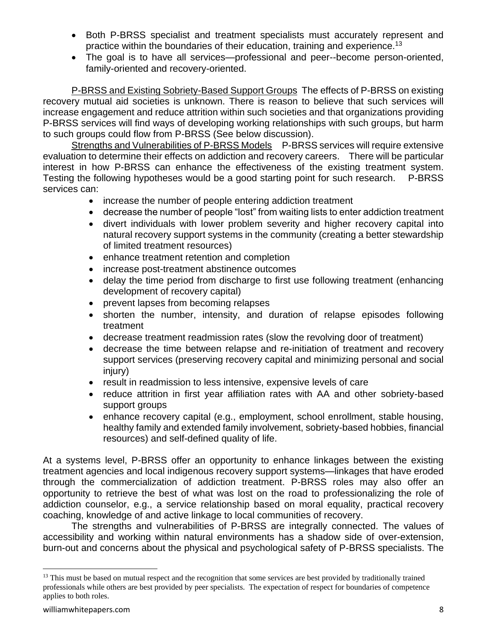- Both P-BRSS specialist and treatment specialists must accurately represent and practice within the boundaries of their education, training and experience.<sup>13</sup>
- The goal is to have all services—professional and peer--become person-oriented, family-oriented and recovery-oriented.

P-BRSS and Existing Sobriety-Based Support Groups The effects of P-BRSS on existing recovery mutual aid societies is unknown. There is reason to believe that such services will increase engagement and reduce attrition within such societies and that organizations providing P-BRSS services will find ways of developing working relationships with such groups, but harm to such groups could flow from P-BRSS (See below discussion).

Strengths and Vulnerabilities of P-BRSS Models P-BRSS services will require extensive evaluation to determine their effects on addiction and recovery careers. There will be particular interest in how P-BRSS can enhance the effectiveness of the existing treatment system. Testing the following hypotheses would be a good starting point for such research. P-BRSS services can:

- increase the number of people entering addiction treatment
- decrease the number of people "lost" from waiting lists to enter addiction treatment
- divert individuals with lower problem severity and higher recovery capital into natural recovery support systems in the community (creating a better stewardship of limited treatment resources)
- enhance treatment retention and completion
- increase post-treatment abstinence outcomes
- delay the time period from discharge to first use following treatment (enhancing development of recovery capital)
- prevent lapses from becoming relapses
- shorten the number, intensity, and duration of relapse episodes following treatment
- decrease treatment readmission rates (slow the revolving door of treatment)
- decrease the time between relapse and re-initiation of treatment and recovery support services (preserving recovery capital and minimizing personal and social injury)
- result in readmission to less intensive, expensive levels of care
- reduce attrition in first year affiliation rates with AA and other sobriety-based support groups
- enhance recovery capital (e.g., employment, school enrollment, stable housing, healthy family and extended family involvement, sobriety-based hobbies, financial resources) and self-defined quality of life.

At a systems level, P-BRSS offer an opportunity to enhance linkages between the existing treatment agencies and local indigenous recovery support systems—linkages that have eroded through the commercialization of addiction treatment. P-BRSS roles may also offer an opportunity to retrieve the best of what was lost on the road to professionalizing the role of addiction counselor, e.g., a service relationship based on moral equality, practical recovery coaching, knowledge of and active linkage to local communities of recovery.

The strengths and vulnerabilities of P-BRSS are integrally connected. The values of accessibility and working within natural environments has a shadow side of over-extension, burn-out and concerns about the physical and psychological safety of P-BRSS specialists. The

<sup>&</sup>lt;sup>13</sup> This must be based on mutual respect and the recognition that some services are best provided by traditionally trained professionals while others are best provided by peer specialists. The expectation of respect for boundaries of competence applies to both roles.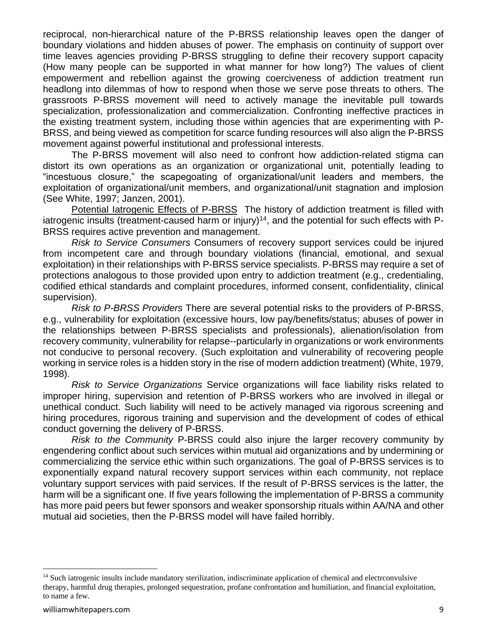reciprocal, non-hierarchical nature of the P-BRSS relationship leaves open the danger of boundary violations and hidden abuses of power. The emphasis on continuity of support over time leaves agencies providing P-BRSS struggling to define their recovery support capacity (How many people can be supported in what manner for how long?) The values of client empowerment and rebellion against the growing coerciveness of addiction treatment run headlong into dilemmas of how to respond when those we serve pose threats to others. The grassroots P-BRSS movement will need to actively manage the inevitable pull towards specialization, professionalization and commercialization. Confronting ineffective practices in the existing treatment system, including those within agencies that are experimenting with P-BRSS, and being viewed as competition for scarce funding resources will also align the P-BRSS movement against powerful institutional and professional interests.

The P-BRSS movement will also need to confront how addiction-related stigma can distort its own operations as an organization or organizational unit, potentially leading to "incestuous closure," the scapegoating of organizational/unit leaders and members, the exploitation of organizational/unit members, and organizational/unit stagnation and implosion (See White, 1997; Janzen, 2001).

Potential Iatrogenic Effects of P-BRSS The history of addiction treatment is filled with iatrogenic insults (treatment-caused harm or injury)<sup>14</sup>, and the potential for such effects with  $P-$ BRSS requires active prevention and management.

*Risk to Service Consumers* Consumers of recovery support services could be injured from incompetent care and through boundary violations (financial, emotional, and sexual exploitation) in their relationships with P-BRSS service specialists. P-BRSS may require a set of protections analogous to those provided upon entry to addiction treatment (e.g., credentialing, codified ethical standards and complaint procedures, informed consent, confidentiality, clinical supervision).

*Risk to P-BRSS Providers* There are several potential risks to the providers of P-BRSS, e.g., vulnerability for exploitation (excessive hours, low pay/benefits/status; abuses of power in the relationships between P-BRSS specialists and professionals), alienation/isolation from recovery community, vulnerability for relapse--particularly in organizations or work environments not conducive to personal recovery. (Such exploitation and vulnerability of recovering people working in service roles is a hidden story in the rise of modern addiction treatment) (White, 1979, 1998).

*Risk to Service Organizations* Service organizations will face liability risks related to improper hiring, supervision and retention of P-BRSS workers who are involved in illegal or unethical conduct. Such liability will need to be actively managed via rigorous screening and hiring procedures, rigorous training and supervision and the development of codes of ethical conduct governing the delivery of P-BRSS.

*Risk to the Community* P-BRSS could also injure the larger recovery community by engendering conflict about such services within mutual aid organizations and by undermining or commercializing the service ethic within such organizations. The goal of P-BRSS services is to exponentially expand natural recovery support services within each community, not replace voluntary support services with paid services. If the result of P-BRSS services is the latter, the harm will be a significant one. If five years following the implementation of P-BRSS a community has more paid peers but fewer sponsors and weaker sponsorship rituals within AA/NA and other mutual aid societies, then the P-BRSS model will have failed horribly.

<sup>&</sup>lt;sup>14</sup> Such iatrogenic insults include mandatory sterilization, indiscriminate application of chemical and electrconvulsive therapy, harmful drug therapies, prolonged sequestration, profane confrontation and humiliation, and financial exploitation, to name a few.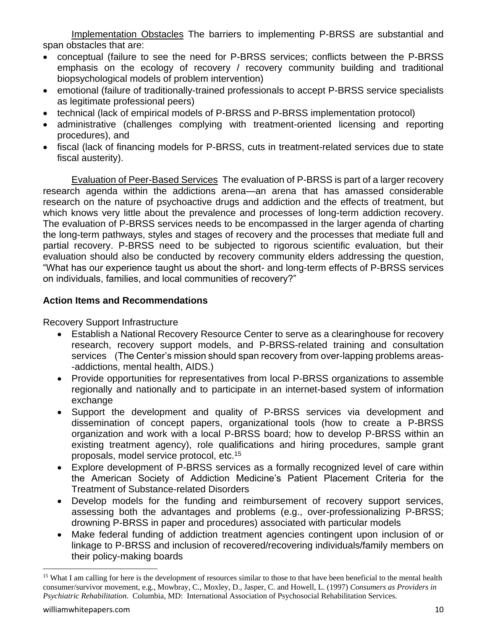Implementation Obstacles The barriers to implementing P-BRSS are substantial and span obstacles that are:

- conceptual (failure to see the need for P-BRSS services; conflicts between the P-BRSS emphasis on the ecology of recovery / recovery community building and traditional biopsychological models of problem intervention)
- emotional (failure of traditionally-trained professionals to accept P-BRSS service specialists as legitimate professional peers)
- technical (lack of empirical models of P-BRSS and P-BRSS implementation protocol)
- administrative (challenges complying with treatment-oriented licensing and reporting procedures), and
- fiscal (lack of financing models for P-BRSS, cuts in treatment-related services due to state fiscal austerity).

Evaluation of Peer-Based Services The evaluation of P-BRSS is part of a larger recovery research agenda within the addictions arena—an arena that has amassed considerable research on the nature of psychoactive drugs and addiction and the effects of treatment, but which knows very little about the prevalence and processes of long-term addiction recovery. The evaluation of P-BRSS services needs to be encompassed in the larger agenda of charting the long-term pathways, styles and stages of recovery and the processes that mediate full and partial recovery. P-BRSS need to be subjected to rigorous scientific evaluation, but their evaluation should also be conducted by recovery community elders addressing the question, "What has our experience taught us about the short- and long-term effects of P-BRSS services on individuals, families, and local communities of recovery?"

## **Action Items and Recommendations**

Recovery Support Infrastructure

- Establish a National Recovery Resource Center to serve as a clearinghouse for recovery research, recovery support models, and P-BRSS-related training and consultation services (The Center's mission should span recovery from over-lapping problems areas- -addictions, mental health, AIDS.)
- Provide opportunities for representatives from local P-BRSS organizations to assemble regionally and nationally and to participate in an internet-based system of information exchange
- Support the development and quality of P-BRSS services via development and dissemination of concept papers, organizational tools (how to create a P-BRSS organization and work with a local P-BRSS board; how to develop P-BRSS within an existing treatment agency), role qualifications and hiring procedures, sample grant proposals, model service protocol, etc.<sup>15</sup>
- Explore development of P-BRSS services as a formally recognized level of care within the American Society of Addiction Medicine's Patient Placement Criteria for the Treatment of Substance-related Disorders
- Develop models for the funding and reimbursement of recovery support services, assessing both the advantages and problems (e.g., over-professionalizing P-BRSS; drowning P-BRSS in paper and procedures) associated with particular models
- Make federal funding of addiction treatment agencies contingent upon inclusion of or linkage to P-BRSS and inclusion of recovered/recovering individuals/family members on their policy-making boards

<sup>&</sup>lt;sup>15</sup> What I am calling for here is the development of resources similar to those to that have been beneficial to the mental health consumer/survivor movement, e.g., Mowbray, C., Moxley, D., Jasper, C. and Howell, L. (1997) *Consumers as Providers in Psychiatric Rehabilitation*. Columbia, MD: International Association of Psychosocial Rehabilitation Services.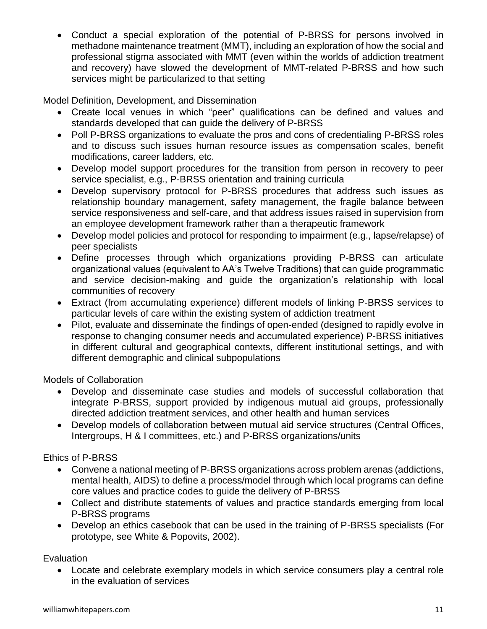• Conduct a special exploration of the potential of P-BRSS for persons involved in methadone maintenance treatment (MMT), including an exploration of how the social and professional stigma associated with MMT (even within the worlds of addiction treatment and recovery) have slowed the development of MMT-related P-BRSS and how such services might be particularized to that setting

Model Definition, Development, and Dissemination

- Create local venues in which "peer" qualifications can be defined and values and standards developed that can guide the delivery of P-BRSS
- Poll P-BRSS organizations to evaluate the pros and cons of credentialing P-BRSS roles and to discuss such issues human resource issues as compensation scales, benefit modifications, career ladders, etc.
- Develop model support procedures for the transition from person in recovery to peer service specialist, e.g., P-BRSS orientation and training curricula
- Develop supervisory protocol for P-BRSS procedures that address such issues as relationship boundary management, safety management, the fragile balance between service responsiveness and self-care, and that address issues raised in supervision from an employee development framework rather than a therapeutic framework
- Develop model policies and protocol for responding to impairment (e.g., lapse/relapse) of peer specialists
- Define processes through which organizations providing P-BRSS can articulate organizational values (equivalent to AA's Twelve Traditions) that can guide programmatic and service decision-making and guide the organization's relationship with local communities of recovery
- Extract (from accumulating experience) different models of linking P-BRSS services to particular levels of care within the existing system of addiction treatment
- Pilot, evaluate and disseminate the findings of open-ended (designed to rapidly evolve in response to changing consumer needs and accumulated experience) P-BRSS initiatives in different cultural and geographical contexts, different institutional settings, and with different demographic and clinical subpopulations

Models of Collaboration

- Develop and disseminate case studies and models of successful collaboration that integrate P-BRSS, support provided by indigenous mutual aid groups, professionally directed addiction treatment services, and other health and human services
- Develop models of collaboration between mutual aid service structures (Central Offices, Intergroups, H & I committees, etc.) and P-BRSS organizations/units

Ethics of P-BRSS

- Convene a national meeting of P-BRSS organizations across problem arenas (addictions, mental health, AIDS) to define a process/model through which local programs can define core values and practice codes to guide the delivery of P-BRSS
- Collect and distribute statements of values and practice standards emerging from local P-BRSS programs
- Develop an ethics casebook that can be used in the training of P-BRSS specialists (For prototype, see White & Popovits, 2002).

Evaluation

• Locate and celebrate exemplary models in which service consumers play a central role in the evaluation of services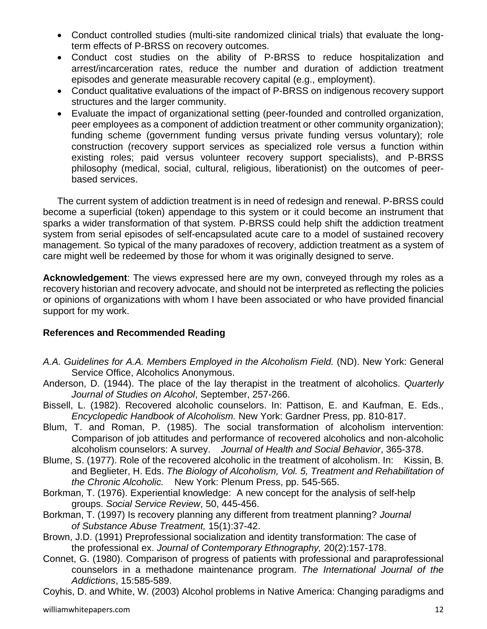- Conduct controlled studies (multi-site randomized clinical trials) that evaluate the longterm effects of P-BRSS on recovery outcomes.
- Conduct cost studies on the ability of P-BRSS to reduce hospitalization and arrest/incarceration rates, reduce the number and duration of addiction treatment episodes and generate measurable recovery capital (e.g., employment).
- Conduct qualitative evaluations of the impact of P-BRSS on indigenous recovery support structures and the larger community.
- Evaluate the impact of organizational setting (peer-founded and controlled organization, peer employees as a component of addiction treatment or other community organization); funding scheme (government funding versus private funding versus voluntary); role construction (recovery support services as specialized role versus a function within existing roles; paid versus volunteer recovery support specialists), and P-BRSS philosophy (medical, social, cultural, religious, liberationist) on the outcomes of peerbased services.

The current system of addiction treatment is in need of redesign and renewal. P-BRSS could become a superficial (token) appendage to this system or it could become an instrument that sparks a wider transformation of that system. P-BRSS could help shift the addiction treatment system from serial episodes of self-encapsulated acute care to a model of sustained recovery management. So typical of the many paradoxes of recovery, addiction treatment as a system of care might well be redeemed by those for whom it was originally designed to serve.

**Acknowledgement**: The views expressed here are my own, conveyed through my roles as a recovery historian and recovery advocate, and should not be interpreted as reflecting the policies or opinions of organizations with whom I have been associated or who have provided financial support for my work.

#### **References and Recommended Reading**

- *A.A. Guidelines for A.A. Members Employed in the Alcoholism Field.* (ND). New York: General Service Office, Alcoholics Anonymous.
- Anderson, D. (1944). The place of the lay therapist in the treatment of alcoholics. *Quarterly Journal of Studies on Alcohol*, September, 257-266.
- Bissell, L. (1982). Recovered alcoholic counselors. In: Pattison, E. and Kaufman, E. Eds., *Encyclopedic Handbook of Alcoholism.* New York: Gardner Press, pp. 810-817.
- Blum, T. and Roman, P. (1985). The social transformation of alcoholism intervention: Comparison of job attitudes and performance of recovered alcoholics and non-alcoholic alcoholism counselors: A survey. *Journal of Health and Social Behavior*, 365-378.
- Blume, S. (1977). Role of the recovered alcoholic in the treatment of alcoholism. In: Kissin, B. and Beglieter, H. Eds. *The Biology of Alcoholism, Vol. 5, Treatment and Rehabilitation of the Chronic Alcoholic.* New York: Plenum Press, pp. 545-565.
- Borkman, T. (1976). Experiential knowledge: A new concept for the analysis of self-help groups. *Social Service Review*, 50, 445-456.
- Borkman, T. (1997) Is recovery planning any different from treatment planning? *Journal of Substance Abuse Treatment,* 15(1):37-42.
- Brown, J.D. (1991) Preprofessional socialization and identity transformation: The case of the professional ex. *Journal of Contemporary Ethnography,* 20(2):157-178.
- Connet, G. (1980). Comparison of progress of patients with professional and paraprofessional counselors in a methadone maintenance program. *The International Journal of the Addictions*, 15:585-589.

Coyhis, D. and White, W. (2003) Alcohol problems in Native America: Changing paradigms and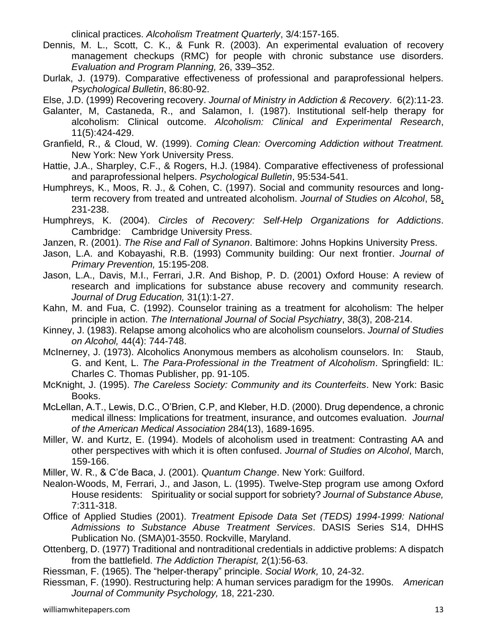clinical practices. *Alcoholism Treatment Quarterly*, 3/4:157-165.

- Dennis, M. L., Scott, C. K., & Funk R. (2003). An experimental evaluation of recovery management checkups (RMC) for people with chronic substance use disorders. *Evaluation and Program Planning,* 26, 339–352.
- Durlak, J. (1979). Comparative effectiveness of professional and paraprofessional helpers. *Psychological Bulletin*, 86:80-92.
- Else, J.D. (1999) Recovering recovery. *Journal of Ministry in Addiction & Recovery*. 6(2):11-23.
- Galanter, M, Castaneda, R., and Salamon, I. (1987). Institutional self-help therapy for alcoholism: Clinical outcome. *Alcoholism: Clinical and Experimental Research*, 11(5):424-429.
- Granfield, R., & Cloud, W. (1999). *Coming Clean: Overcoming Addiction without Treatment.* New York: New York University Press.
- Hattie, J.A., Sharpley, C.F., & Rogers, H.J. (1984). Comparative effectiveness of professional and paraprofessional helpers. *Psychological Bulletin*, 95:534-541.
- Humphreys, K., Moos, R. J., & Cohen, C. (1997). Social and community resources and longterm recovery from treated and untreated alcoholism. *Journal of Studies on Alcohol*, 58, 231-238.
- Humphreys, K. (2004). *Circles of Recovery: Self-Help Organizations for Addictions*. Cambridge: Cambridge University Press.
- Janzen, R. (2001). *The Rise and Fall of Synanon*. Baltimore: Johns Hopkins University Press.
- Jason, L.A. and Kobayashi, R.B. (1993) Community building: Our next frontier. *Journal of Primary Prevention,* 15:195-208.
- Jason, L.A., Davis, M.I., Ferrari, J.R. And Bishop, P. D. (2001) Oxford House: A review of research and implications for substance abuse recovery and community research. *Journal of Drug Education,* 31(1):1-27.
- Kahn, M. and Fua, C. (1992). Counselor training as a treatment for alcoholism: The helper principle in action. *The International Journal of Social Psychiatry*, 38(3), 208-214.
- Kinney, J. (1983). Relapse among alcoholics who are alcoholism counselors. *Journal of Studies on Alcohol,* 44(4): 744-748.
- McInerney, J. (1973). Alcoholics Anonymous members as alcoholism counselors. In: Staub, G. and Kent, L. *The Para-Professional in the Treatment of Alcoholism*. Springfield: IL: Charles C. Thomas Publisher, pp. 91-105.
- McKnight, J. (1995). *The Careless Society: Community and its Counterfeits*. New York: Basic Books.
- McLellan, A.T., Lewis, D.C., O'Brien, C.P, and Kleber, H.D. (2000). Drug dependence, a chronic medical illness: Implications for treatment, insurance, and outcomes evaluation. *Journal of the American Medical Association* 284(13), 1689-1695.
- Miller, W. and Kurtz, E. (1994). Models of alcoholism used in treatment: Contrasting AA and other perspectives with which it is often confused. *Journal of Studies on Alcohol*, March, 159-166.

Miller, W. R., & C'de Baca, J. (2001). *Quantum Change*. New York: Guilford.

- Nealon-Woods, M, Ferrari, J., and Jason, L. (1995). Twelve-Step program use among Oxford House residents: Spirituality or social support for sobriety? *Journal of Substance Abuse,* 7:311-318.
- Office of Applied Studies (2001). *Treatment Episode Data Set (TEDS) 1994-1999: National Admissions to Substance Abuse Treatment Services*. DASIS Series S14, DHHS Publication No. (SMA)01-3550. Rockville, Maryland.
- Ottenberg, D. (1977) Traditional and nontraditional credentials in addictive problems: A dispatch from the battlefield. *The Addiction Therapist,* 2(1):56-63.

Riessman, F. (1965). The "helper-therapy" principle. *Social Work,* 10, 24-32.

Riessman, F. (1990). Restructuring help: A human services paradigm for the 1990s. *American Journal of Community Psychology,* 18, 221-230.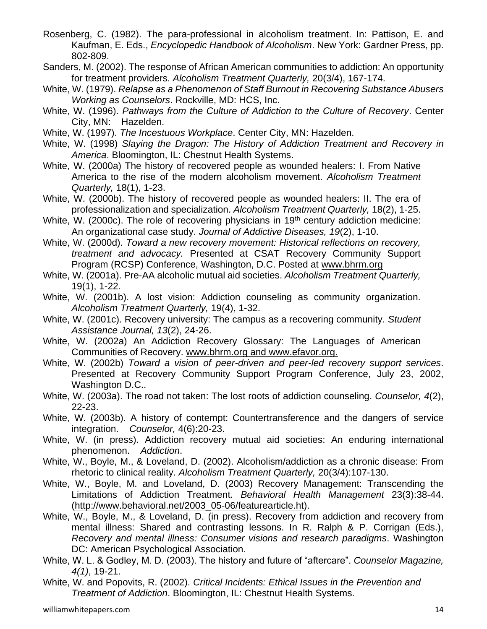- Rosenberg, C. (1982). The para-professional in alcoholism treatment. In: Pattison, E. and Kaufman, E. Eds., *Encyclopedic Handbook of Alcoholism*. New York: Gardner Press, pp. 802-809.
- Sanders, M. (2002). The response of African American communities to addiction: An opportunity for treatment providers. *Alcoholism Treatment Quarterly,* 20(3/4), 167-174.
- White, W. (1979). *Relapse as a Phenomenon of Staff Burnout in Recovering Substance Abusers Working as Counselors*. Rockville, MD: HCS, Inc.
- White, W. (1996). *Pathways from the Culture of Addiction to the Culture of Recovery*. Center City, MN: Hazelden.
- White, W. (1997). *The Incestuous Workplace*. Center City, MN: Hazelden.
- White, W. (1998) *Slaying the Dragon: The History of Addiction Treatment and Recovery in America*. Bloomington, IL: Chestnut Health Systems.
- White, W. (2000a) The history of recovered people as wounded healers: I. From Native America to the rise of the modern alcoholism movement. *Alcoholism Treatment Quarterly,* 18(1), 1-23.
- White, W. (2000b). The history of recovered people as wounded healers: II. The era of professionalization and specialization. *Alcoholism Treatment Quarterly,* 18(2), 1-25.
- White, W. (2000c). The role of recovering physicians in  $19<sup>th</sup>$  century addiction medicine: An organizational case study. *Journal of Addictive Diseases, 19*(2), 1-10.
- White, W. (2000d). *Toward a new recovery movement: Historical reflections on recovery, treatment and advocacy.* Presented at CSAT Recovery Community Support Program (RCSP) Conference, Washington, D.C. Posted at [www.bhrm.org](http://www.bhrm.org/)
- White, W. (2001a). Pre-AA alcoholic mutual aid societies. *Alcoholism Treatment Quarterly,* 19(1), 1-22.
- White, W. (2001b). A lost vision: Addiction counseling as community organization. *Alcoholism Treatment Quarterly,* 19(4), 1-32.
- White, W. (2001c). Recovery university: The campus as a recovering community. *Student Assistance Journal, 13*(2), 24-26.
- White, W. (2002a) An Addiction Recovery Glossary: The Languages of American Communities of Recovery. [www.bhrm.org](http://www.bhrm.org/) and [www.efavor.org.](http://www.efavor.org/)
- White, W. (2002b) *Toward a vision of peer-driven and peer-led recovery support services*. Presented at Recovery Community Support Program Conference, July 23, 2002, Washington D.C..
- White, W. (2003a). The road not taken: The lost roots of addiction counseling. *Counselor, 4*(2), 22-23.
- White, W. (2003b). A history of contempt: Countertransference and the dangers of service integration. *Counselor,* 4(6):20-23.
- White, W. (in press). Addiction recovery mutual aid societies: An enduring international phenomenon. *Addiction*.
- White, W., Boyle, M., & Loveland, D. (2002). Alcoholism/addiction as a chronic disease: From rhetoric to clinical reality. *Alcoholism Treatment Quarterly,* 20(3/4):107-130.
- White, W., Boyle, M. and Loveland, D. (2003) Recovery Management: Transcending the Limitations of Addiction Treatment. *Behavioral Health Management* 23(3):38-44. [\(http://www.behavioral.net/2003\\_05-06/featurearticle.ht\)](http://www.behavioral.net/2003_05-06/featurearticle.ht).
- White, W., Boyle, M., & Loveland, D. (in press). Recovery from addiction and recovery from mental illness: Shared and contrasting lessons. In R. Ralph & P. Corrigan (Eds.), *Recovery and mental illness: Consumer visions and research paradigms*. Washington DC: American Psychological Association.
- White, W. L. & Godley, M. D. (2003). The history and future of "aftercare". *Counselor Magazine, 4(1)*, 19-21.
- White, W. and Popovits, R. (2002). *Critical Incidents: Ethical Issues in the Prevention and Treatment of Addiction*. Bloomington, IL: Chestnut Health Systems.